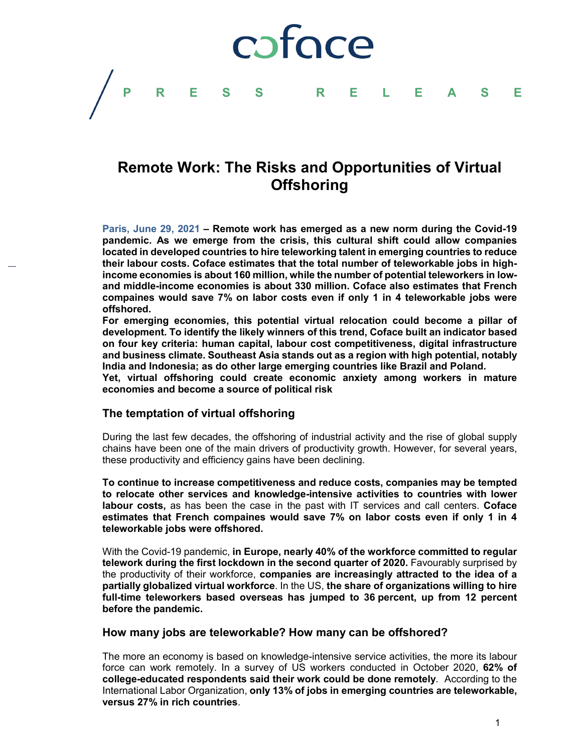## coface

### **Remote Work: The Risks and Opportunities of Virtual Offshoring**

**PRESS RELEASE**

**Paris, June 29, 2021 – Remote work has emerged as a new norm during the Covid-19 pandemic. As we emerge from the crisis, this cultural shift could allow companies located in developed countries to hire teleworking talent in emerging countries to reduce their labour costs. Coface estimates that the total number of teleworkable jobs in highincome economies is about 160 million, while the number of potential teleworkers in lowand middle-income economies is about 330 million. Coface also estimates that French compaines would save 7% on labor costs even if only 1 in 4 teleworkable jobs were offshored.**

**For emerging economies, this potential virtual relocation could become a pillar of development. To identify the likely winners of this trend, Coface built an indicator based on four key criteria: human capital, labour cost competitiveness, digital infrastructure and business climate. Southeast Asia stands out as a region with high potential, notably India and Indonesia; as do other large emerging countries like Brazil and Poland.** 

**Yet, virtual offshoring could create economic anxiety among workers in mature economies and become a source of political risk** 

### **The temptation of virtual offshoring**

During the last few decades, the offshoring of industrial activity and the rise of global supply chains have been one of the main drivers of productivity growth. However, for several years, these productivity and efficiency gains have been declining.

**To continue to increase competitiveness and reduce costs, companies may be tempted to relocate other services and knowledge-intensive activities to countries with lower labour costs,** as has been the case in the past with IT services and call centers. **Coface estimates that French compaines would save 7% on labor costs even if only 1 in 4 teleworkable jobs were offshored.**

With the Covid-19 pandemic, **in Europe, nearly 40% of the workforce committed to regular telework during the first lockdown in the second quarter of 2020.** Favourably surprised by the productivity of their workforce, **companies are increasingly attracted to the idea of a partially globalized virtual workforce**. In the US, **the share of organizations willing to hire full-time teleworkers based overseas has jumped to 36 percent, up from 12 percent before the pandemic.**

### **How many jobs are teleworkabl***e***? How many can be offshored?**

The more an economy is based on knowledge-intensive service activities, the more its labour force can work remotely. In a survey of US workers conducted in October 2020, **62% of college-educated respondents said their work could be done remotely**. According to the International Labor Organization, **only 13% of jobs in emerging countries are teleworkable, versus 27% in rich countries**.